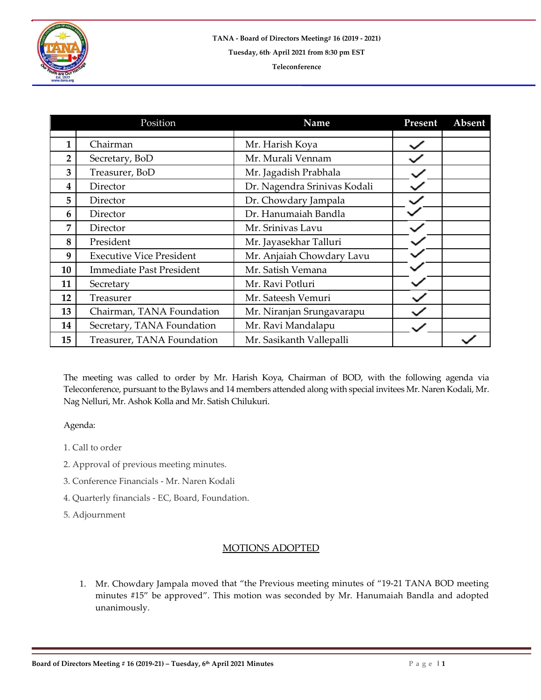

|                | Position                        | Name                         | Present | Absent |
|----------------|---------------------------------|------------------------------|---------|--------|
| $\mathbf{1}$   | Chairman                        | Mr. Harish Koya              |         |        |
| $\overline{2}$ | Secretary, BoD                  | Mr. Murali Vennam            |         |        |
| 3              | Treasurer, BoD                  | Mr. Jagadish Prabhala        |         |        |
| 4              | Director                        | Dr. Nagendra Srinivas Kodali |         |        |
| 5              | Director                        | Dr. Chowdary Jampala         |         |        |
| 6              | Director                        | Dr. Hanumaiah Bandla         |         |        |
| 7              | Director                        | Mr. Srinivas Lavu            |         |        |
| 8              | President                       | Mr. Jayasekhar Talluri       |         |        |
| 9              | <b>Executive Vice President</b> | Mr. Anjaiah Chowdary Lavu    |         |        |
| 10             | <b>Immediate Past President</b> | Mr. Satish Vemana            |         |        |
| 11             | Secretary                       | Mr. Ravi Potluri             |         |        |
| 12             | Treasurer                       | Mr. Sateesh Vemuri           |         |        |
| 13             | Chairman, TANA Foundation       | Mr. Niranjan Srungavarapu    |         |        |
| 14             | Secretary, TANA Foundation      | Mr. Ravi Mandalapu           |         |        |
| 15             | Treasurer, TANA Foundation      | Mr. Sasikanth Vallepalli     |         |        |

The meeting was called to order by Mr. Harish Koya, Chairman of BOD, with the following agenda via Teleconference, pursuant to the Bylaws and 14 members attended along with special invitees Mr. Naren Kodali, Mr. Nag Nelluri, Mr. Ashok Kolla and Mr. Satish Chilukuri.

Agenda:

- 1. Call to order
- 2. Approval of previous meeting minutes.
- 3. Conference Financials Mr. Naren Kodali
- 4. Quarterly financials EC, Board, Foundation.

5. Adjournment

## MOTIONS ADOPTED

1. Mr. Chowdary Jampala moved that "the Previous meeting minutes of "19-21 TANA BOD meeting minutes #15" be approved". This motion was seconded by Mr. Hanumaiah Bandla and adopted unanimously.